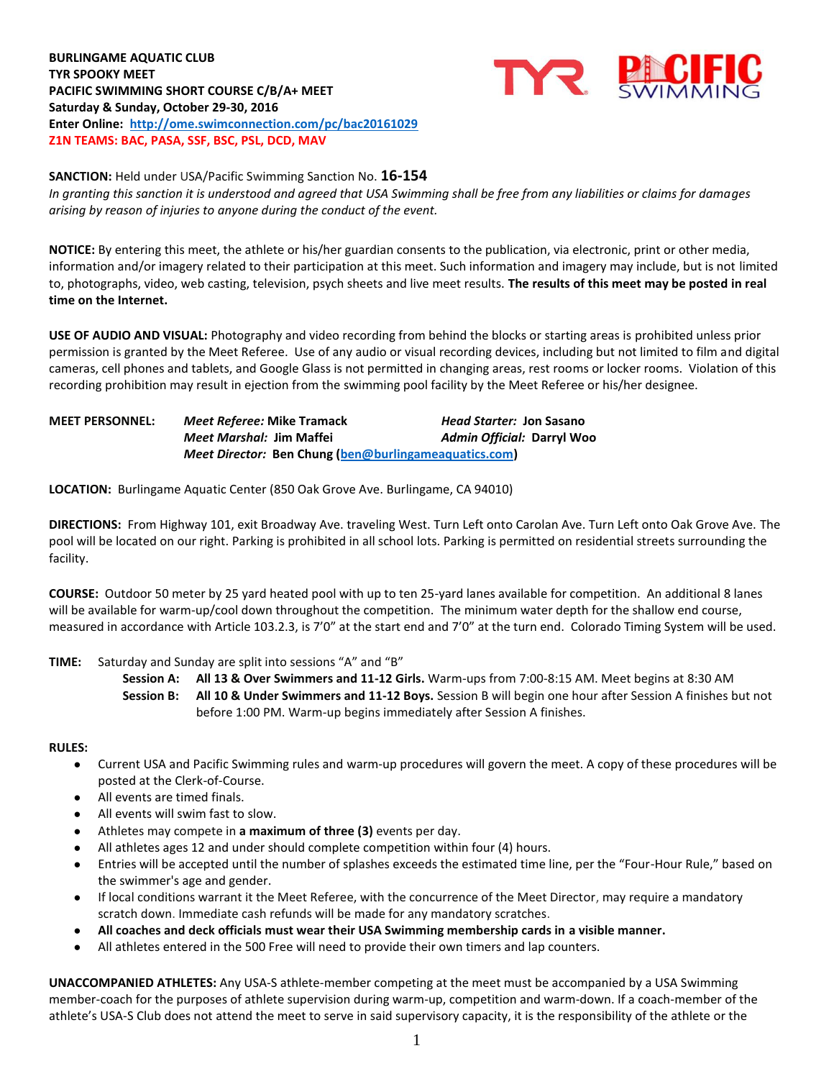# **BURLINGAME AQUATIC CLUB TYR SPOOKY MEET PACIFIC SWIMMING SHORT COURSE C/B/A+ MEET Saturday & Sunday, October 29-30, 2016 Enter Online: <http://ome.swimconnection.com/pc/bac20161029> Z1N TEAMS: BAC, PASA, SSF, BSC, PSL, DCD, MAV**



## **SANCTION:** Held under USA/Pacific Swimming Sanction No. **16-154**

*In granting this sanction it is understood and agreed that USA Swimming shall be free from any liabilities or claims for damages arising by reason of injuries to anyone during the conduct of the event.*

**NOTICE:** By entering this meet, the athlete or his/her guardian consents to the publication, via electronic, print or other media, information and/or imagery related to their participation at this meet. Such information and imagery may include, but is not limited to, photographs, video, web casting, television, psych sheets and live meet results. **The results of this meet may be posted in real time on the Internet.**

**USE OF AUDIO AND VISUAL:** Photography and video recording from behind the blocks or starting areas is prohibited unless prior permission is granted by the Meet Referee. Use of any audio or visual recording devices, including but not limited to film and digital cameras, cell phones and tablets, and Google Glass is not permitted in changing areas, rest rooms or locker rooms. Violation of this recording prohibition may result in ejection from the swimming pool facility by the Meet Referee or his/her designee.

| <b>MEET PERSONNEL:</b> | Meet Referee: Mike Tramack                            | <i>Head Starter: Jon Sasano</i> |
|------------------------|-------------------------------------------------------|---------------------------------|
|                        | <i>Meet Marshal: Jim Maffei</i>                       | Admin Official: Darryl Woo      |
|                        | Meet Director: Ben Chung (ben@burlingameaquatics.com) |                                 |

**LOCATION:** Burlingame Aquatic Center (850 Oak Grove Ave. Burlingame, CA 94010)

**DIRECTIONS:** From Highway 101, exit Broadway Ave. traveling West. Turn Left onto Carolan Ave. Turn Left onto Oak Grove Ave. The pool will be located on our right. Parking is prohibited in all school lots. Parking is permitted on residential streets surrounding the facility.

**COURSE:** Outdoor 50 meter by 25 yard heated pool with up to ten 25-yard lanes available for competition.An additional 8 lanes will be available for warm-up/cool down throughout the competition. The minimum water depth for the shallow end course, measured in accordance with Article 103.2.3, is 7'0" at the start end and 7'0" at the turn end. Colorado Timing System will be used.

#### **TIME:** Saturday and Sunday are split into sessions "A" and "B"

**Session A: All 13 & Over Swimmers and 11-12 Girls.** Warm-ups from 7:00-8:15 AM. Meet begins at 8:30 AM **Session B: All 10 & Under Swimmers and 11-12 Boys.** Session B will begin one hour after Session A finishes but not before 1:00 PM. Warm-up begins immediately after Session A finishes.

#### **RULES:**

- Current USA and Pacific Swimming rules and warm-up procedures will govern the meet. A copy of these procedures will be posted at the Clerk-of-Course.
- All events are timed finals.
- All events will swim fast to slow.
- Athletes may compete in a maximum of three (3) events per day.
- All athletes ages 12 and under should complete competition within four (4) hours.
- Entries will be accepted until the number of splashes exceeds the estimated time line, per the "Four-Hour Rule," based on the swimmer's age and gender.
- If local conditions warrant it the Meet Referee, with the concurrence of the Meet Director, may require a mandatory scratch down. Immediate cash refunds will be made for any mandatory scratches.
- **All coaches and deck officials must wear their USA Swimming membership cards in a visible manner.**
- All athletes entered in the 500 Free will need to provide their own timers and lap counters.

**UNACCOMPANIED ATHLETES:** Any USA-S athlete-member competing at the meet must be accompanied by a USA Swimming member-coach for the purposes of athlete supervision during warm-up, competition and warm-down. If a coach-member of the athlete's USA-S Club does not attend the meet to serve in said supervisory capacity, it is the responsibility of the athlete or the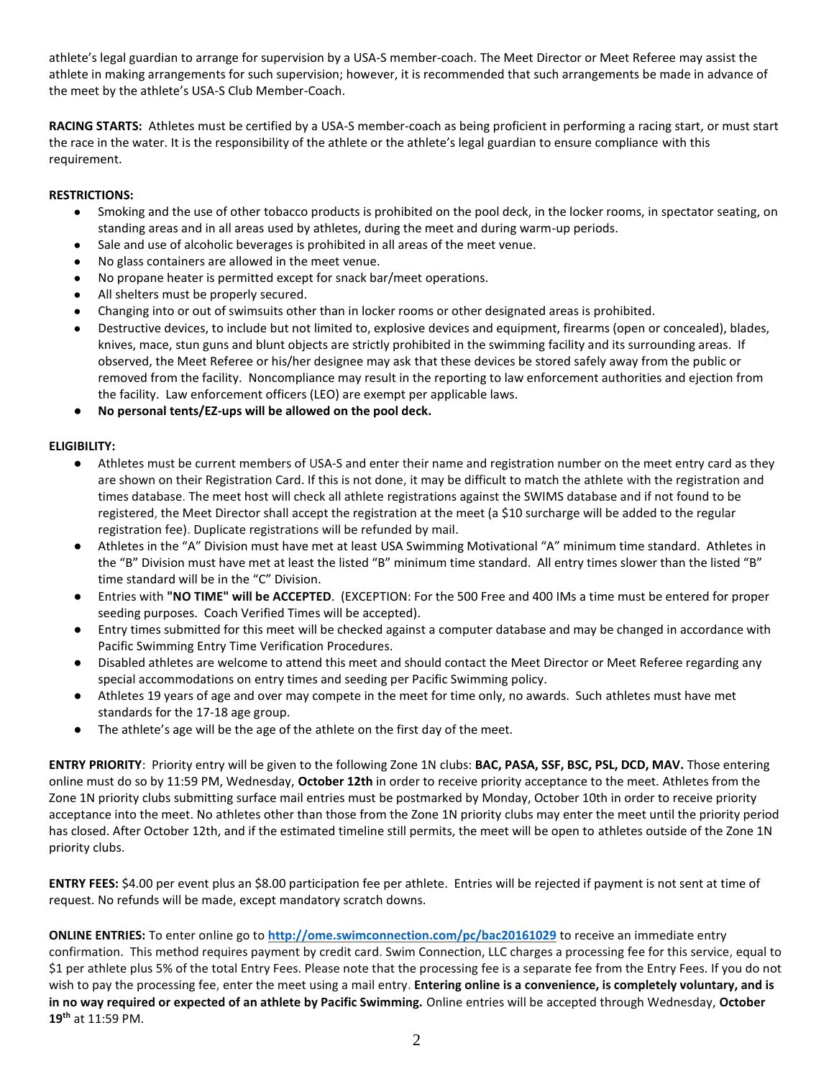athlete's legal guardian to arrange for supervision by a USA-S member-coach. The Meet Director or Meet Referee may assist the athlete in making arrangements for such supervision; however, it is recommended that such arrangements be made in advance of the meet by the athlete's USA-S Club Member-Coach.

**RACING STARTS:** Athletes must be certified by a USA-S member-coach as being proficient in performing a racing start, or must start the race in the water. It is the responsibility of the athlete or the athlete's legal guardian to ensure compliance with this requirement.

# **RESTRICTIONS:**

- Smoking and the use of other tobacco products is prohibited on the pool deck, in the locker rooms, in spectator seating, on standing areas and in all areas used by athletes, during the meet and during warm-up periods.
- Sale and use of alcoholic beverages is prohibited in all areas of the meet venue.
- No glass containers are allowed in the meet venue.
- No propane heater is permitted except for snack bar/meet operations.
- All shelters must be properly secured.
- Changing into or out of swimsuits other than in locker rooms or other designated areas is prohibited.
- Destructive devices, to include but not limited to, explosive devices and equipment, firearms (open or concealed), blades, knives, mace, stun guns and blunt objects are strictly prohibited in the swimming facility and its surrounding areas. If observed, the Meet Referee or his/her designee may ask that these devices be stored safely away from the public or removed from the facility. Noncompliance may result in the reporting to law enforcement authorities and ejection from the facility. Law enforcement officers (LEO) are exempt per applicable laws.

## No personal tents/EZ-ups will be allowed on the pool deck.

## **ELIGIBILITY:**

- Athletes must be current members of USA-S and enter their name and registration number on the meet entry card as they are shown on their Registration Card. If this is not done, it may be difficult to match the athlete with the registration and times database. The meet host will check all athlete registrations against the SWIMS database and if not found to be registered, the Meet Director shall accept the registration at the meet (a \$10 surcharge will be added to the regular registration fee). Duplicate registrations will be refunded by mail.
- Athletes in the "A" Division must have met at least USA Swimming Motivational "A" minimum time standard. Athletes in the "B" Division must have met at least the listed "B" minimum time standard. All entry times slower than the listed "B" time standard will be in the "C" Division.
- Entries with **"NO TIME" will be ACCEPTED**. (EXCEPTION: For the 500 Free and 400 IMs a time must be entered for proper seeding purposes. Coach Verified Times will be accepted).
- Entry times submitted for this meet will be checked against a computer database and may be changed in accordance with Pacific Swimming Entry Time Verification Procedures.
- Disabled athletes are welcome to attend this meet and should contact the Meet Director or Meet Referee regarding any special accommodations on entry times and seeding per Pacific Swimming policy.
- Athletes 19 years of age and over may compete in the meet for time only, no awards. Such athletes must have met standards for the 17-18 age group.
- The athlete's age will be the age of the athlete on the first day of the meet.

**ENTRY PRIORITY**: Priority entry will be given to the following Zone 1N clubs: **BAC, PASA, SSF, BSC, PSL, DCD, MAV.** Those entering online must do so by 11:59 PM, Wednesday, **October 12th** in order to receive priority acceptance to the meet. Athletes from the Zone 1N priority clubs submitting surface mail entries must be postmarked by Monday, October 10th in order to receive priority acceptance into the meet. No athletes other than those from the Zone 1N priority clubs may enter the meet until the priority period has closed. After October 12th, and if the estimated timeline still permits, the meet will be open to athletes outside of the Zone 1N priority clubs.

**ENTRY FEES:** \$4.00 per event plus an \$8.00 participation fee per athlete. Entries will be rejected if payment is not sent at time of request. No refunds will be made, except mandatory scratch downs.

**ONLINE ENTRIES:** To enter online go to **<http://ome.swimconnection.com/pc/bac20161029>** to receive an immediate entry confirmation. This method requires payment by credit card. Swim Connection, LLC charges a processing fee for this service, equal to \$1 per athlete plus 5% of the total Entry Fees. Please note that the processing fee is a separate fee from the Entry Fees. If you do not wish to pay the processing fee, enter the meet using a mail entry. **Entering online is a convenience, is completely voluntary, and is in no way required or expected of an athlete by Pacific Swimming.** Online entries will be accepted through Wednesday, **October 19th** at 11:59 PM.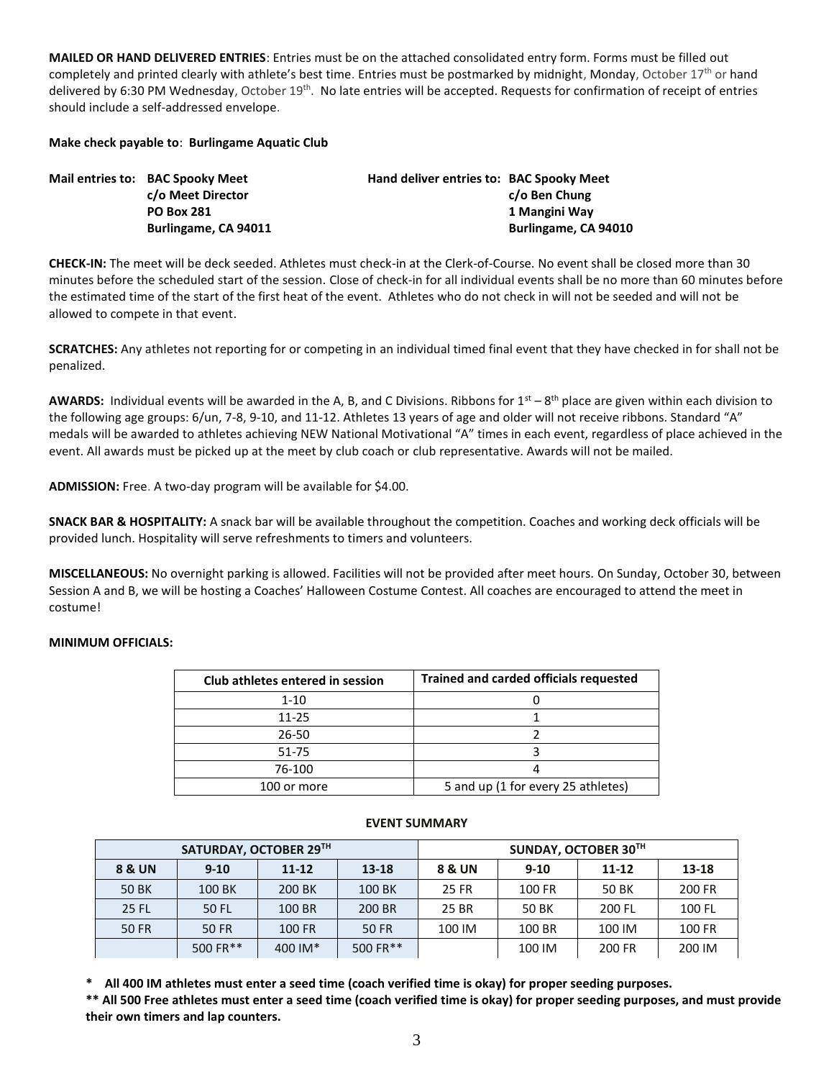**MAILED OR HAND DELIVERED ENTRIES**: Entries must be on the attached consolidated entry form. Forms must be filled out completely and printed clearly with athlete's best time. Entries must be postmarked by midnight, Monday, October 17<sup>th</sup> or hand delivered by 6:30 PM Wednesday, October 19<sup>th</sup>. No late entries will be accepted. Requests for confirmation of receipt of entries should include a self-addressed envelope.

## **Make check payable to**: **Burlingame Aquatic Club**

| Mail entries to: BAC Spooky Meet | Hand deliver entries to: BAC Spooky Meet |                      |
|----------------------------------|------------------------------------------|----------------------|
| c/o Meet Director                |                                          | c/o Ben Chung        |
| <b>PO Box 281</b>                |                                          | 1 Mangini Wav        |
| Burlingame, CA 94011             |                                          | Burlingame, CA 94010 |

**CHECK-IN:** The meet will be deck seeded. Athletes must check-in at the Clerk-of-Course. No event shall be closed more than 30 minutes before the scheduled start of the session. Close of check-in for all individual events shall be no more than 60 minutes before the estimated time of the start of the first heat of the event. Athletes who do not check in will not be seeded and will not be allowed to compete in that event.

**SCRATCHES:** Any athletes not reporting for or competing in an individual timed final event that they have checked in for shall not be penalized.

AWARDS: Individual events will be awarded in the A, B, and C Divisions. Ribbons for 1<sup>st</sup> – 8<sup>th</sup> place are given within each division to the following age groups: 6/un, 7-8, 9-10, and 11-12. Athletes 13 years of age and older will not receive ribbons. Standard "A" medals will be awarded to athletes achieving NEW National Motivational "A" times in each event, regardless of place achieved in the event. All awards must be picked up at the meet by club coach or club representative. Awards will not be mailed.

**ADMISSION:** Free. A two-day program will be available for \$4.00.

**SNACK BAR & HOSPITALITY:** A snack bar will be available throughout the competition. Coaches and working deck officials will be provided lunch. Hospitality will serve refreshments to timers and volunteers.

**MISCELLANEOUS:** No overnight parking is allowed. Facilities will not be provided after meet hours. On Sunday, October 30, between Session A and B, we will be hosting a Coaches' Halloween Costume Contest. All coaches are encouraged to attend the meet in costume!

## **MINIMUM OFFICIALS:**

| Club athletes entered in session | <b>Trained and carded officials requested</b> |
|----------------------------------|-----------------------------------------------|
| $1 - 10$                         |                                               |
| $11 - 25$                        |                                               |
| 26-50                            |                                               |
| 51-75                            |                                               |
| 76-100                           |                                               |
| 100 or more                      | 5 and up (1 for every 25 athletes)            |

| SATURDAY, OCTOBER 29TH |          |           | SUNDAY, OCTOBER 30TH |        |          |           |        |
|------------------------|----------|-----------|----------------------|--------|----------|-----------|--------|
| <b>8 &amp; UN</b>      | $9 - 10$ | $11 - 12$ | $13 - 18$            | 8 & UN | $9 - 10$ | $11 - 12$ | 13-18  |
| 50 BK                  | 100 BK   | 200 BK    | 100 BK               | 25 FR  | 100 FR   | 50 BK     | 200 FR |
| 25 FL                  | 50 FL    | 100 BR    | 200 BR               | 25 BR  | 50 BK    | 200 FL    | 100 FL |
| <b>50 FR</b>           | 50 FR    | 100 FR    | 50 FR                | 100 IM | 100 BR   | 100 IM    | 100 FR |
|                        | 500 FR** | 400 IM*   | 500 FR**             |        | 100 IM   | 200 FR    | 200 IM |

#### **EVENT SUMMARY**

**\* All 400 IM athletes must enter a seed time (coach verified time is okay) for proper seeding purposes.**

**\*\* All 500 Free athletes must enter a seed time (coach verified time is okay) for proper seeding purposes, and must provide their own timers and lap counters.**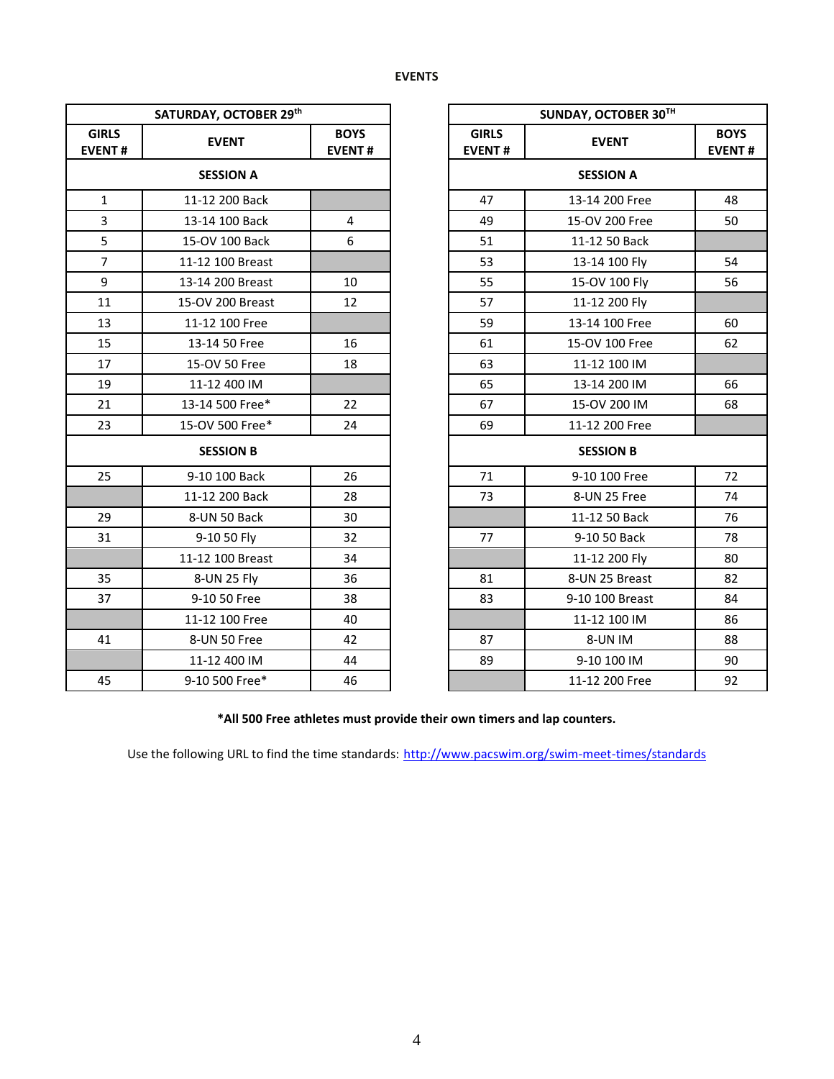| SATURDAY, OCTOBER 29th        |                  |                              | <b>SUNDAY, OCTOBER</b>        |                  |
|-------------------------------|------------------|------------------------------|-------------------------------|------------------|
| <b>GIRLS</b><br><b>EVENT#</b> | <b>EVENT</b>     | <b>BOYS</b><br><b>EVENT#</b> | <b>GIRLS</b><br><b>EVENT#</b> | <b>EVENT</b>     |
| <b>SESSION A</b>              |                  |                              |                               | <b>SESSION A</b> |
| $\mathbf{1}$                  | 11-12 200 Back   |                              | 47                            | 13-14 200 Free   |
| 3                             | 13-14 100 Back   | 4                            | 49                            | 15-OV 200 Free   |
| 5                             | 15-OV 100 Back   | 6                            | 51                            | 11-12 50 Back    |
| $\overline{7}$                | 11-12 100 Breast |                              | 53                            | 13-14 100 Fly    |
| 9                             | 13-14 200 Breast | 10                           | 55                            | 15-OV 100 Fly    |
| 11                            | 15-OV 200 Breast | 12                           | 57                            | 11-12 200 Fly    |
| 13                            | 11-12 100 Free   |                              | 59                            | 13-14 100 Free   |
| 15                            | 13-14 50 Free    | 16                           | 61                            | 15-OV 100 Free   |
| 17                            | 15-OV 50 Free    | 18                           | 63                            | 11-12 100 IM     |
| 19                            | 11-12 400 IM     |                              | 65                            | 13-14 200 IM     |
| 21                            | 13-14 500 Free*  | 22                           | 67                            | 15-OV 200 IM     |
| 23                            | 15-OV 500 Free*  | 24                           | 69                            | 11-12 200 Free   |
| <b>SESSION B</b>              |                  |                              | <b>SESSION B</b>              |                  |
| 25                            | 9-10 100 Back    | 26                           | 71                            | 9-10 100 Free    |
|                               | 11-12 200 Back   | 28                           | 73                            | 8-UN 25 Free     |
| 29                            | 8-UN 50 Back     | 30                           |                               | 11-12 50 Back    |
| 31                            | 9-10 50 Fly      | 32                           | 77                            | 9-10 50 Back     |
|                               | 11-12 100 Breast | 34                           |                               | 11-12 200 Fly    |
| 35                            | 8-UN 25 Fly      | 36                           | 81                            | 8-UN 25 Breast   |
| 37                            | 9-10 50 Free     | 38                           | 83                            | 9-10 100 Breast  |
|                               | 11-12 100 Free   | 40                           |                               | 11-12 100 IM     |
| 41                            | 8-UN 50 Free     | 42                           | 87                            | 8-UN IM          |
|                               | 11-12 400 IM     | 44                           | 89                            | 9-10 100 IM      |
| 45                            | 9-10 500 Free*   | 46                           |                               | 11-12 200 Free   |

| SATURDAY, OCTOBER 29th |                  |                              | SUNDAY, OCTOBER 30TH          |                  |                              |
|------------------------|------------------|------------------------------|-------------------------------|------------------|------------------------------|
| <b>IRLS</b><br>ENT#    | <b>EVENT</b>     | <b>BOYS</b><br><b>EVENT#</b> | <b>GIRLS</b><br><b>EVENT#</b> | <b>EVENT</b>     | <b>BOYS</b><br><b>EVENT#</b> |
| <b>SESSION A</b>       |                  |                              |                               | <b>SESSION A</b> |                              |
| $\mathbf{1}$           | 11-12 200 Back   |                              | 47                            | 13-14 200 Free   | 48                           |
| $\mathbf{3}$           | 13-14 100 Back   | 4                            | 49                            | 15-OV 200 Free   | 50                           |
| $\overline{5}$         | 15-OV 100 Back   | 6                            | 51                            | 11-12 50 Back    |                              |
| $\overline{7}$         | 11-12 100 Breast |                              | 53                            | 13-14 100 Fly    | 54                           |
| $\mathsf g$            | 13-14 200 Breast | 10                           | 55                            | 15-OV 100 Fly    | 56                           |
| 11                     | 15-OV 200 Breast | 12                           | 57                            | 11-12 200 Fly    |                              |
| 13                     | 11-12 100 Free   |                              | 59                            | 13-14 100 Free   | 60                           |
| 15                     | 13-14 50 Free    | 16                           | 61                            | 15-OV 100 Free   | 62                           |
| 17                     | 15-OV 50 Free    | 18                           | 63                            | 11-12 100 IM     |                              |
| 19                     | 11-12 400 IM     |                              | 65                            | 13-14 200 IM     | 66                           |
| 21                     | 13-14 500 Free*  | 22                           | 67                            | 15-OV 200 IM     | 68                           |
| 23                     | 15-OV 500 Free*  | 24                           | 69                            | 11-12 200 Free   |                              |
| <b>SESSION B</b>       |                  |                              |                               | <b>SESSION B</b> |                              |
| 25                     | 9-10 100 Back    | 26                           | 71                            | 9-10 100 Free    | 72                           |
|                        | 11-12 200 Back   | 28                           | 73                            | 8-UN 25 Free     | 74                           |
| 29                     | 8-UN 50 Back     | 30                           |                               | 11-12 50 Back    | 76                           |
| 31                     | 9-10 50 Fly      | 32                           | 77                            | 9-10 50 Back     | 78                           |
|                        | 11-12 100 Breast | 34                           |                               | 11-12 200 Fly    | 80                           |
| 35                     | 8-UN 25 Fly      | 36                           | 81                            | 8-UN 25 Breast   | 82                           |
| 37                     | 9-10 50 Free     | 38                           | 83                            | 9-10 100 Breast  | 84                           |
|                        | 11-12 100 Free   | 40                           |                               | 11-12 100 IM     | 86                           |
| 41                     | 8-UN 50 Free     | 42                           | 87                            | 8-UN IM          | 88                           |
|                        | 11-12 400 IM     | 44                           | 89                            | 9-10 100 IM      | 90                           |
| 45                     | 9-10 500 Free*   | 46                           |                               | 11-12 200 Free   | 92                           |

**\*All 500 Free athletes must provide their own timers and lap counters.**

Use the following URL to find the time standards: <http://www.pacswim.org/swim-meet-times/standards>